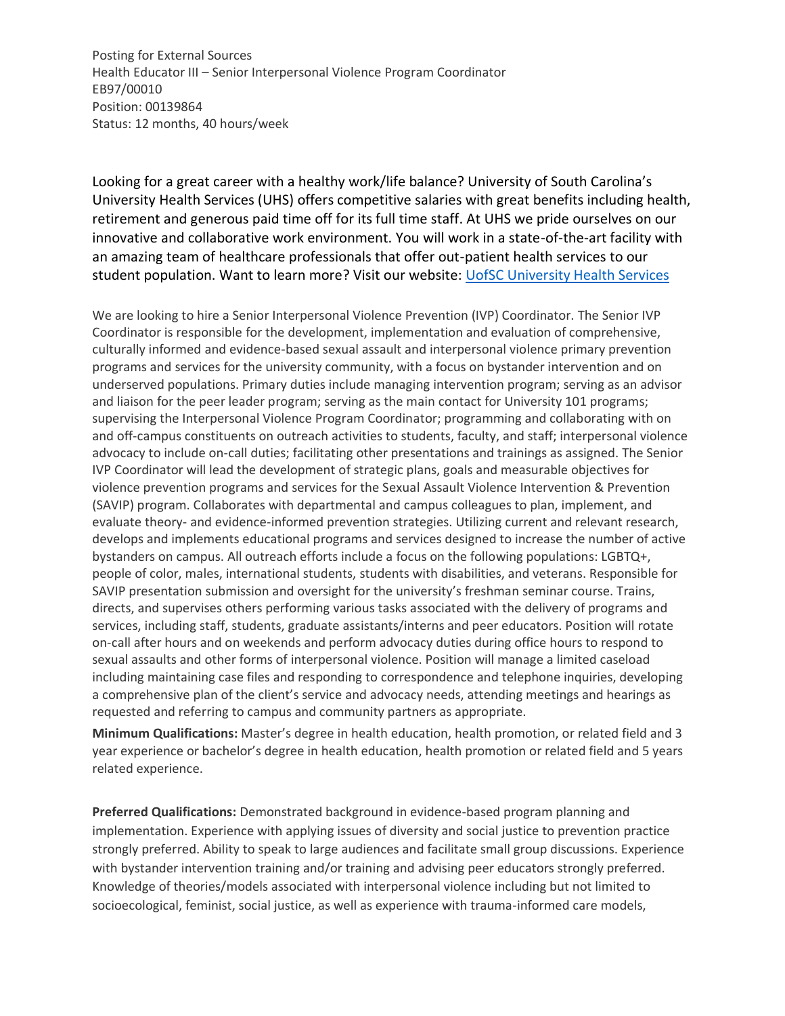Posting for External Sources Health Educator III – Senior Interpersonal Violence Program Coordinator EB97/00010 Position: 00139864 Status: 12 months, 40 hours/week

Looking for a great career with a healthy work/life balance? University of South Carolina's University Health Services (UHS) offers competitive salaries with great benefits including health, retirement and generous paid time off for its full time staff. At UHS we pride ourselves on our innovative and collaborative work environment. You will work in a state-of-the-art facility with an amazing team of healthcare professionals that offer out-patient health services to our student population. Want to learn more? Visit our website: [UofSC University Health Services](https://sc.edu/about/offices_and_divisions/health_services/)

We are looking to hire a Senior Interpersonal Violence Prevention (IVP) Coordinator. The Senior IVP Coordinator is responsible for the development, implementation and evaluation of comprehensive, culturally informed and evidence-based sexual assault and interpersonal violence primary prevention programs and services for the university community, with a focus on bystander intervention and on underserved populations. Primary duties include managing intervention program; serving as an advisor and liaison for the peer leader program; serving as the main contact for University 101 programs; supervising the Interpersonal Violence Program Coordinator; programming and collaborating with on and off-campus constituents on outreach activities to students, faculty, and staff; interpersonal violence advocacy to include on-call duties; facilitating other presentations and trainings as assigned. The Senior IVP Coordinator will lead the development of strategic plans, goals and measurable objectives for violence prevention programs and services for the Sexual Assault Violence Intervention & Prevention (SAVIP) program. Collaborates with departmental and campus colleagues to plan, implement, and evaluate theory- and evidence-informed prevention strategies. Utilizing current and relevant research, develops and implements educational programs and services designed to increase the number of active bystanders on campus. All outreach efforts include a focus on the following populations: LGBTQ+, people of color, males, international students, students with disabilities, and veterans. Responsible for SAVIP presentation submission and oversight for the university's freshman seminar course. Trains, directs, and supervises others performing various tasks associated with the delivery of programs and services, including staff, students, graduate assistants/interns and peer educators. Position will rotate on-call after hours and on weekends and perform advocacy duties during office hours to respond to sexual assaults and other forms of interpersonal violence. Position will manage a limited caseload including maintaining case files and responding to correspondence and telephone inquiries, developing a comprehensive plan of the client's service and advocacy needs, attending meetings and hearings as requested and referring to campus and community partners as appropriate.

**Minimum Qualifications:** Master's degree in health education, health promotion, or related field and 3 year experience or bachelor's degree in health education, health promotion or related field and 5 years related experience.

**Preferred Qualifications:** Demonstrated background in evidence-based program planning and implementation. Experience with applying issues of diversity and social justice to prevention practice strongly preferred. Ability to speak to large audiences and facilitate small group discussions. Experience with bystander intervention training and/or training and advising peer educators strongly preferred. Knowledge of theories/models associated with interpersonal violence including but not limited to socioecological, feminist, social justice, as well as experience with trauma-informed care models,